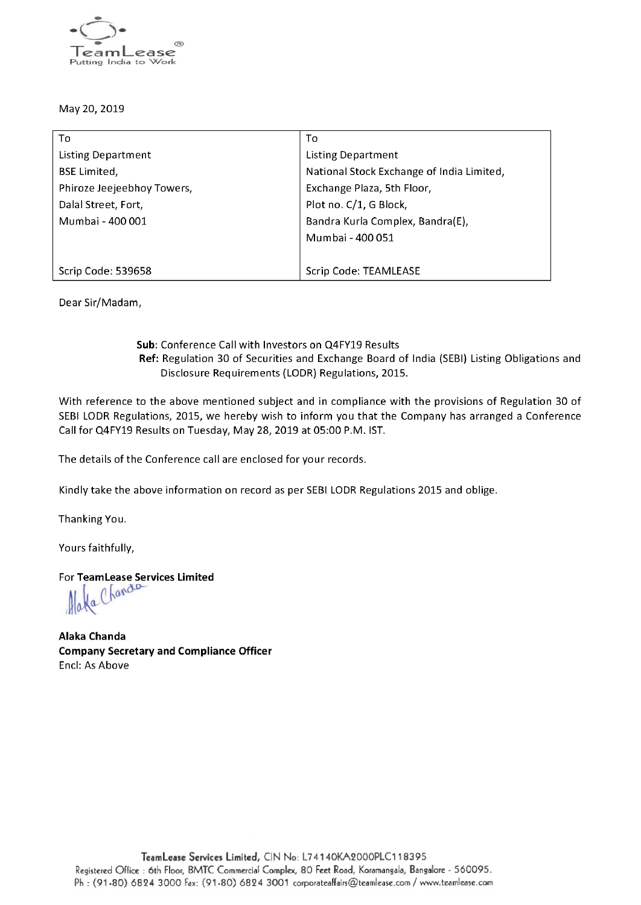

### May 20, 2019

| То                         | То                                        |
|----------------------------|-------------------------------------------|
| <b>Listing Department</b>  | Listing Department                        |
| <b>BSE Limited,</b>        | National Stock Exchange of India Limited, |
| Phiroze Jeejeebhoy Towers, | Exchange Plaza, 5th Floor,                |
| Dalal Street, Fort,        | Plot no. C/1, G Block,                    |
| Mumbai - 400 001           | Bandra Kurla Complex, Bandra(E),          |
|                            | Mumbai - 400 051                          |
|                            |                                           |
| Scrip Code: 539658         | Scrip Code: TEAMLEASE                     |

Dear Sir/Madam,

### Sub: Conference Call with Investors on Q4FY19 Results Ref: Regulation 30 of Securities and Exchange Board of India (SEBI) Listing Obligations and Disclosure Requirements (LODR) Regulations, 2015.

With reference to the above mentioned subject and in compliance with the provisions of Regulation 30 of SEBI LODR Regulations, 2015, we hereby wish to inform you that the Company has arranged <sup>a</sup> Conference Call for Q4FY19 Results on Tuesday, May 28, 2019 at 05:00 P.M. IST.

The details of the Conference call are enclosed for your records.

Kindly take the above information on record as per SEBI LODR Regulations 2015 and oblige.

Thanking You.

Yours faithfully,

For TeamLease Services Limited

Ha Chandle

Alaka Chanda Company Secretary and Compliance Officer Encl: As Above